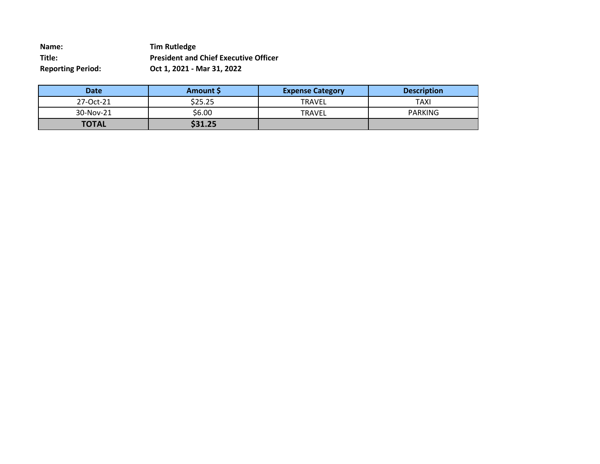**Name: Tim Rutledge Title: President and Chief Executive Officer Reporting Period: Oct 1, 2021 - Mar 31, 2022**

| Date         | <b>Amount S</b> | <b>Expense Category</b> | <b>Description</b> |
|--------------|-----------------|-------------------------|--------------------|
| 27-Oct-21    | \$25.25         | <b>TRAVEL</b>           | TAXI               |
| 30-Nov-21    | \$6.00          | <b>TRAVEL</b>           | <b>PARKING</b>     |
| <b>TOTAL</b> | \$31.25         |                         |                    |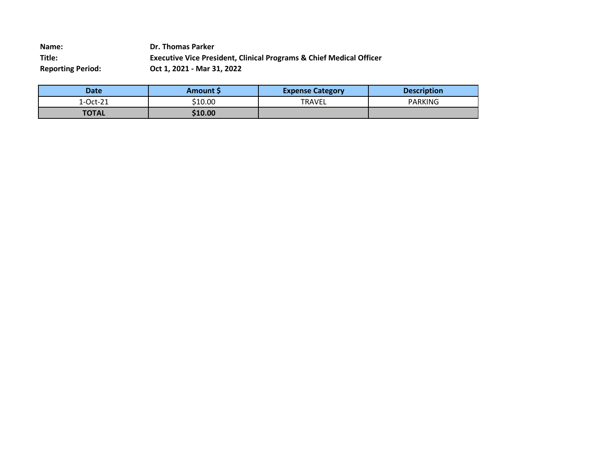**Name: Dr. Thomas Parker Title: Executive Vice President, Clinical Programs & Chief Medical Officer Reporting Period: Oct 1, 2021 - Mar 31, 2022**

| Date         | <b>Amount S</b> | <b>Expense Category</b> | <b>Description</b> |
|--------------|-----------------|-------------------------|--------------------|
| 1-Oct-21     | \$10.00         | <b>TRAVEL</b>           | <b>PARKING</b>     |
| <b>TOTAL</b> | \$10.00         |                         |                    |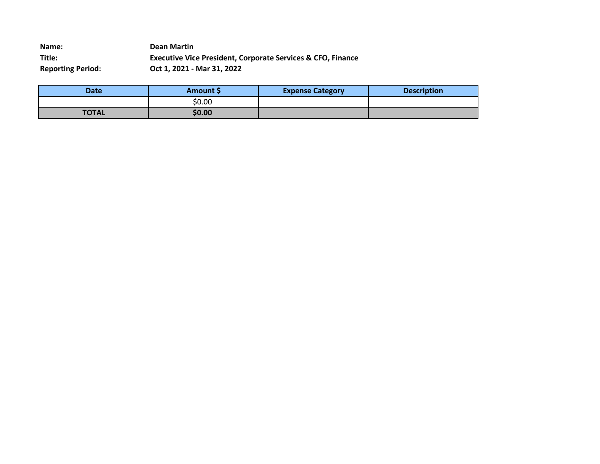**Name: Dean Martin Title: Executive Vice President, Corporate Services & CFO, Finance Reporting Period: Oct 1, 2021 - Mar 31, 2022**

| <b>Date</b>  | <b>Amount S</b> | <b>Expense Category</b> | <b>Description</b> |
|--------------|-----------------|-------------------------|--------------------|
|              | \$0.00          |                         |                    |
| <b>TOTAL</b> | \$0.00          |                         |                    |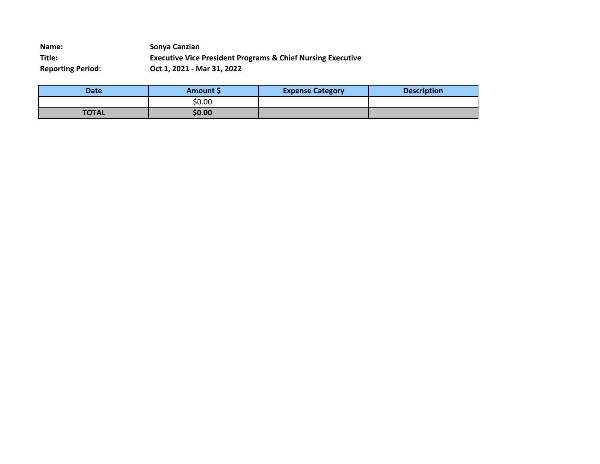**Name: Sonya Canzian Title: Executive Vice President Programs & Chief Nursing Executive Reporting Period: Oct 1, 2021 - Mar 31, 2022**

| <b>Date</b>  | <b>Amount S</b> | <b>Expense Category</b> | <b>Description</b> |
|--------------|-----------------|-------------------------|--------------------|
|              | \$0.00          |                         |                    |
| <b>TOTAL</b> | \$0.00          |                         |                    |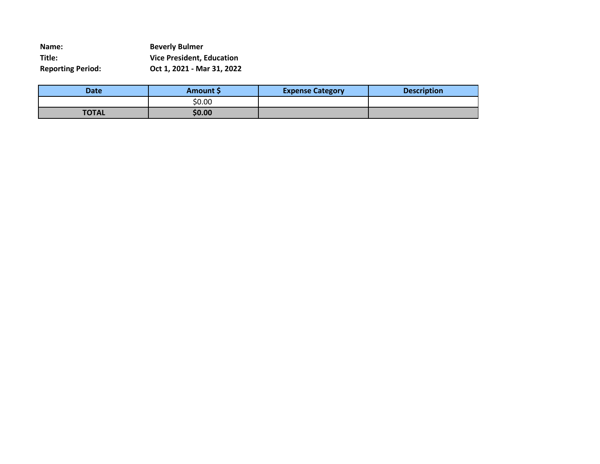| Name:                    | <b>Beverly Bulmer</b>            |
|--------------------------|----------------------------------|
| Title:                   | <b>Vice President, Education</b> |
| <b>Reporting Period:</b> | Oct 1, 2021 - Mar 31, 2022       |

| <b>Date</b>  | Amount \$ | <b>Expense Category</b> | <b>Description</b> |
|--------------|-----------|-------------------------|--------------------|
|              | \$0.00    |                         |                    |
| <b>TOTAL</b> | \$0.00    |                         |                    |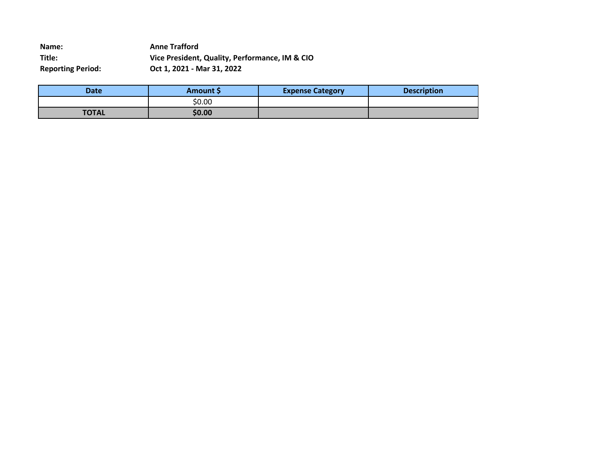**Name: Anne Trafford Title: Vice President, Quality, Performance, IM & CIO Reporting Period: Oct 1, 2021 - Mar 31, 2022**

| Date         | <b>Amount S</b> | <b>Expense Category</b> | <b>Description</b> |
|--------------|-----------------|-------------------------|--------------------|
|              | \$0.00          |                         |                    |
| <b>TOTAL</b> | \$0.00          |                         |                    |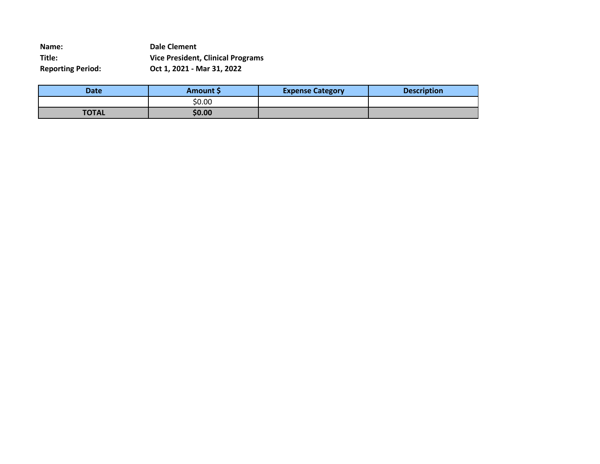**Name: Dale Clement Title: Vice President, Clinical Programs Reporting Period: Oct 1, 2021 - Mar 31, 2022**

| <b>Date</b>  | <b>Amount S</b> | <b>Expense Category</b> | <b>Description</b> |
|--------------|-----------------|-------------------------|--------------------|
|              | \$0.00          |                         |                    |
| <b>TOTAL</b> | \$0.00          |                         |                    |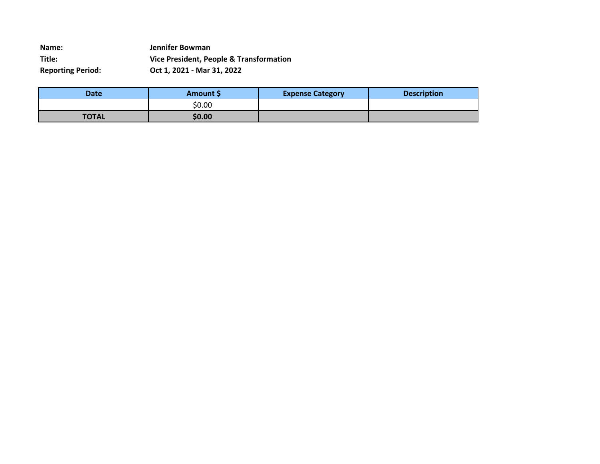**Name: Jennifer Bowman Title: Vice President, People & Transformation Reporting Period: Oct 1, 2021 - Mar 31, 2022**

| <b>Date</b>  | <b>Amount S</b> | <b>Expense Category</b> | <b>Description</b> |
|--------------|-----------------|-------------------------|--------------------|
|              | \$0.00          |                         |                    |
| <b>TOTAL</b> | \$0.00          |                         |                    |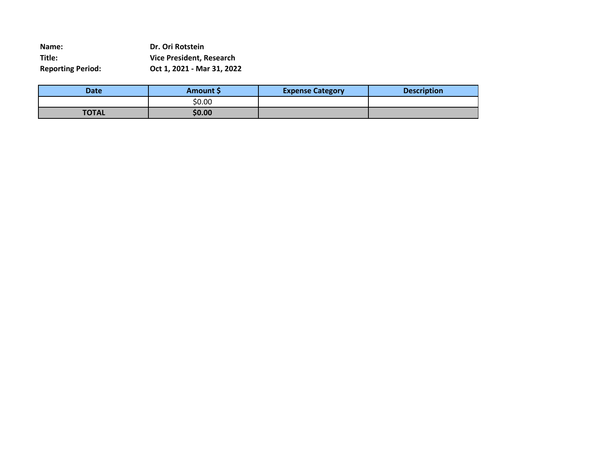**Name: Dr. Ori Rotstein Title: Vice President, Research Reporting Period: Oct 1, 2021 - Mar 31, 2022**

| <b>Date</b>  | <b>Amount S</b> | <b>Expense Category</b> | <b>Description</b> |
|--------------|-----------------|-------------------------|--------------------|
|              | \$0.00          |                         |                    |
| <b>TOTAL</b> | \$0.00          |                         |                    |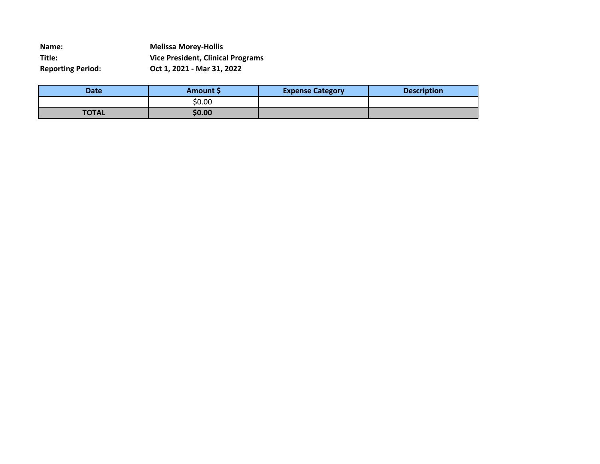**Name: Melissa Morey-Hollis Title: Vice President, Clinical Programs Reporting Period: Oct 1, 2021 - Mar 31, 2022**

| <b>Date</b>  | <b>Amount S</b> | <b>Expense Category</b> | <b>Description</b> |
|--------------|-----------------|-------------------------|--------------------|
|              | \$0.00          |                         |                    |
| <b>TOTAL</b> | \$0.00          |                         |                    |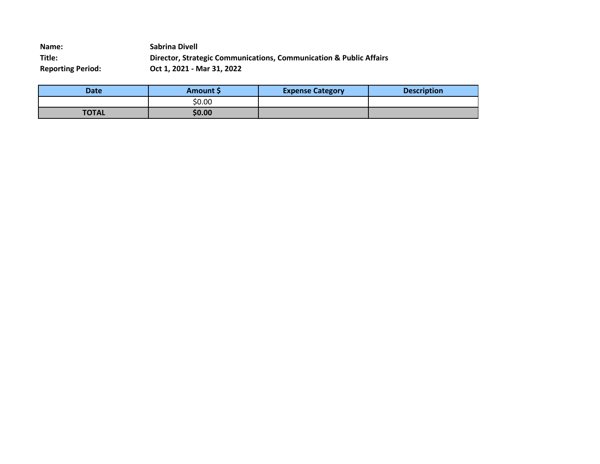**Name: Sabrina Divell Title: Director, Strategic Communications, Communication & Public Affairs Reporting Period: Oct 1, 2021 - Mar 31, 2022**

| Date         | <b>Amount S</b> | <b>Expense Category</b> | <b>Description</b> |
|--------------|-----------------|-------------------------|--------------------|
|              | \$0.00          |                         |                    |
| <b>TOTAL</b> | \$0.00          |                         |                    |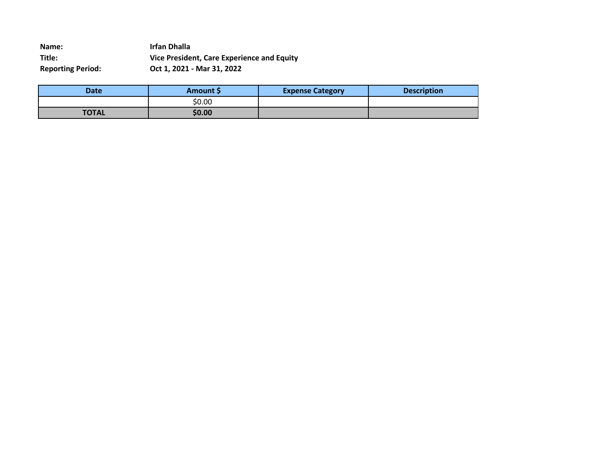**Name: Irfan Dhalla Title: Vice President, Care Experience and Equity Reporting Period: Oct 1, 2021 - Mar 31, 2022**

| <b>Date</b>  | <b>Amount S</b> | <b>Expense Category</b> | <b>Description</b> |
|--------------|-----------------|-------------------------|--------------------|
|              | \$0.00          |                         |                    |
| <b>TOTAL</b> | \$0.00          |                         |                    |